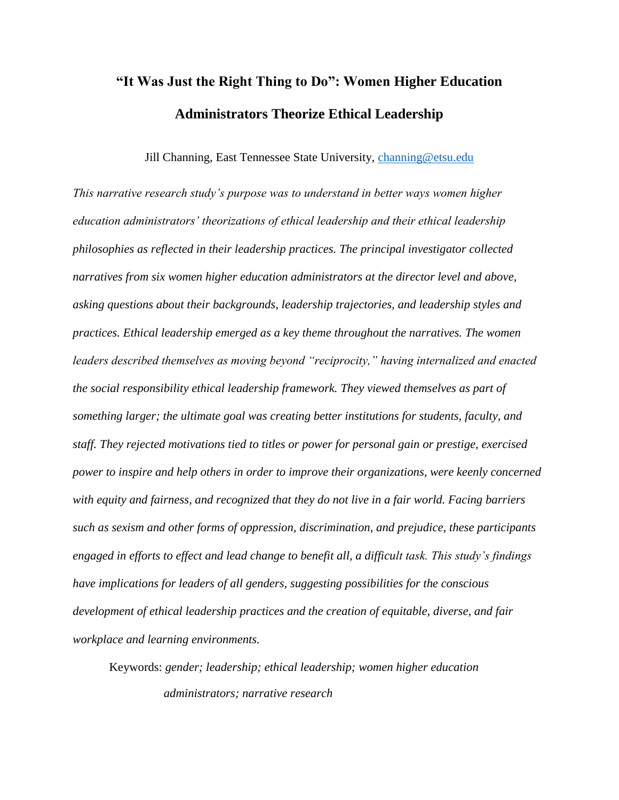# **"It Was Just the Right Thing to Do": Women Higher Education Administrators Theorize Ethical Leadership**

Jill Channing, East Tennessee State University, [channing@etsu.edu](mailto:channing@etsu.edu)

*This narrative research study's purpose was to understand in better ways women higher education administrators' theorizations of ethical leadership and their ethical leadership philosophies as reflected in their leadership practices. The principal investigator collected narratives from six women higher education administrators at the director level and above, asking questions about their backgrounds, leadership trajectories, and leadership styles and practices. Ethical leadership emerged as a key theme throughout the narratives. The women leaders described themselves as moving beyond "reciprocity," having internalized and enacted the social responsibility ethical leadership framework. They viewed themselves as part of something larger; the ultimate goal was creating better institutions for students, faculty, and staff. They rejected motivations tied to titles or power for personal gain or prestige, exercised power to inspire and help others in order to improve their organizations, were keenly concerned with equity and fairness, and recognized that they do not live in a fair world. Facing barriers such as sexism and other forms of oppression, discrimination, and prejudice, these participants engaged in efforts to effect and lead change to benefit all, a difficult task. This study's findings have implications for leaders of all genders, suggesting possibilities for the conscious development of ethical leadership practices and the creation of equitable, diverse, and fair workplace and learning environments.*

Keywords: *gender; leadership; ethical leadership; women higher education administrators; narrative research*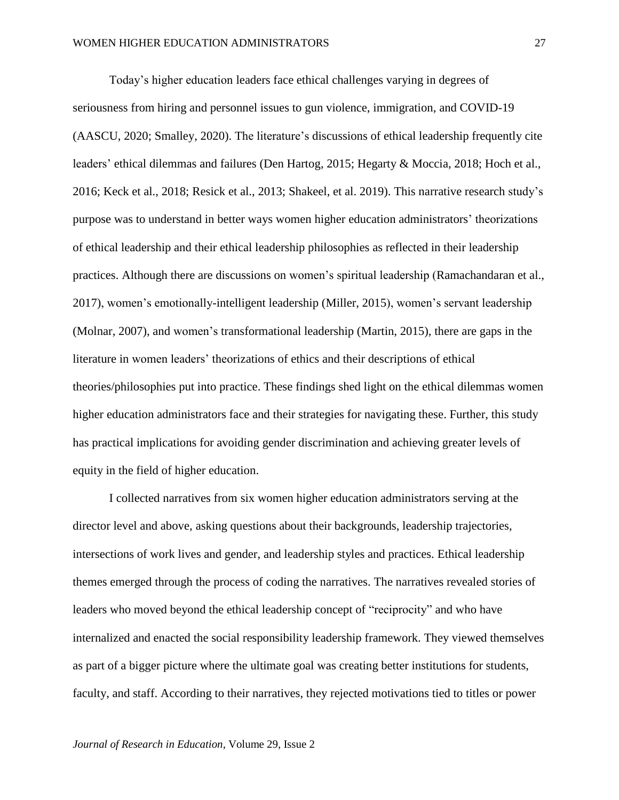Today's higher education leaders face ethical challenges varying in degrees of seriousness from hiring and personnel issues to gun violence, immigration, and COVID-19 (AASCU, 2020; Smalley, 2020). The literature's discussions of ethical leadership frequently cite leaders' ethical dilemmas and failures (Den Hartog, 2015; Hegarty & Moccia, 2018; Hoch et al., 2016; Keck et al., 2018; Resick et al., 2013; Shakeel, et al. 2019). This narrative research study's purpose was to understand in better ways women higher education administrators' theorizations of ethical leadership and their ethical leadership philosophies as reflected in their leadership practices. Although there are discussions on women's spiritual leadership (Ramachandaran et al., 2017), women's emotionally-intelligent leadership (Miller, 2015), women's servant leadership (Molnar, 2007), and women's transformational leadership (Martin, 2015), there are gaps in the literature in women leaders' theorizations of ethics and their descriptions of ethical theories/philosophies put into practice. These findings shed light on the ethical dilemmas women higher education administrators face and their strategies for navigating these. Further, this study has practical implications for avoiding gender discrimination and achieving greater levels of equity in the field of higher education.

I collected narratives from six women higher education administrators serving at the director level and above, asking questions about their backgrounds, leadership trajectories, intersections of work lives and gender, and leadership styles and practices. Ethical leadership themes emerged through the process of coding the narratives. The narratives revealed stories of leaders who moved beyond the ethical leadership concept of "reciprocity" and who have internalized and enacted the social responsibility leadership framework. They viewed themselves as part of a bigger picture where the ultimate goal was creating better institutions for students, faculty, and staff. According to their narratives, they rejected motivations tied to titles or power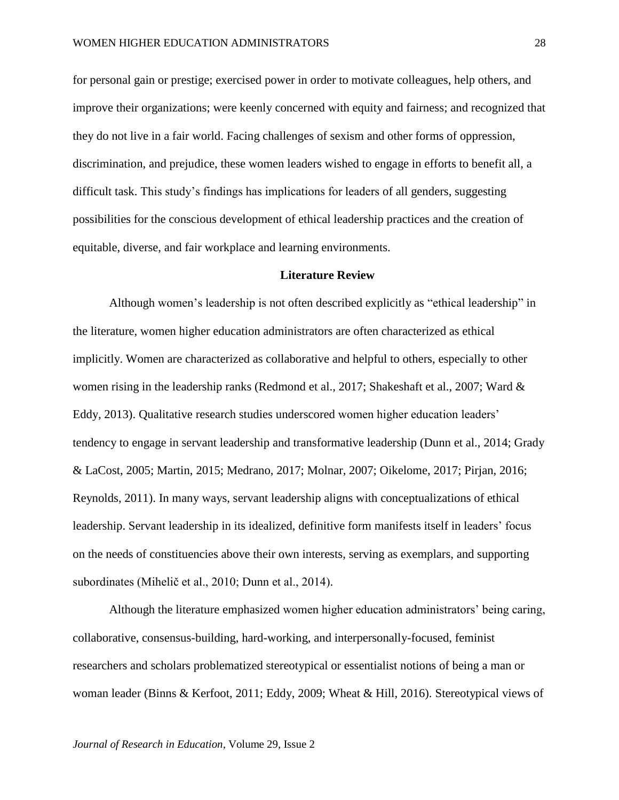for personal gain or prestige; exercised power in order to motivate colleagues, help others, and improve their organizations; were keenly concerned with equity and fairness; and recognized that they do not live in a fair world. Facing challenges of sexism and other forms of oppression, discrimination, and prejudice, these women leaders wished to engage in efforts to benefit all, a difficult task. This study's findings has implications for leaders of all genders, suggesting possibilities for the conscious development of ethical leadership practices and the creation of equitable, diverse, and fair workplace and learning environments.

## **Literature Review**

Although women's leadership is not often described explicitly as "ethical leadership" in the literature, women higher education administrators are often characterized as ethical implicitly. Women are characterized as collaborative and helpful to others, especially to other women rising in the leadership ranks (Redmond et al., 2017; Shakeshaft et al., 2007; Ward & Eddy, 2013). Qualitative research studies underscored women higher education leaders' tendency to engage in servant leadership and transformative leadership (Dunn et al., 2014; Grady & LaCost, 2005; Martin, 2015; Medrano, 2017; Molnar, 2007; Oikelome, 2017; Pirjan, 2016; Reynolds, 2011). In many ways, servant leadership aligns with conceptualizations of ethical leadership. Servant leadership in its idealized, definitive form manifests itself in leaders' focus on the needs of constituencies above their own interests, serving as exemplars, and supporting subordinates (Mihelič et al., 2010; Dunn et al., 2014).

Although the literature emphasized women higher education administrators' being caring, collaborative, consensus-building, hard-working, and interpersonally-focused, feminist researchers and scholars problematized stereotypical or essentialist notions of being a man or woman leader (Binns & Kerfoot, 2011; Eddy, 2009; Wheat & Hill, 2016). Stereotypical views of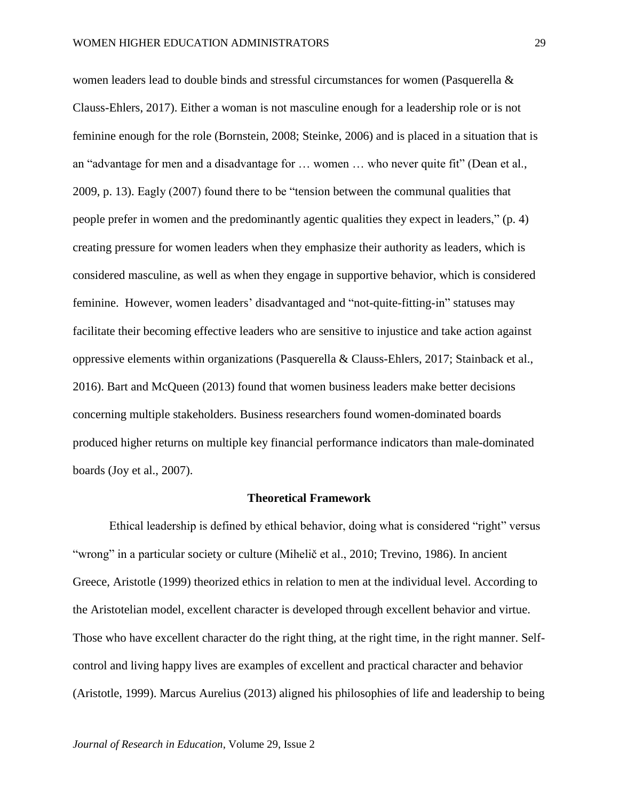women leaders lead to double binds and stressful circumstances for women (Pasquerella & Clauss-Ehlers, 2017). Either a woman is not masculine enough for a leadership role or is not feminine enough for the role (Bornstein, 2008; Steinke, 2006) and is placed in a situation that is an "advantage for men and a disadvantage for … women … who never quite fit" (Dean et al., 2009, p. 13). Eagly (2007) found there to be "tension between the communal qualities that people prefer in women and the predominantly agentic qualities they expect in leaders," (p. 4) creating pressure for women leaders when they emphasize their authority as leaders, which is considered masculine, as well as when they engage in supportive behavior, which is considered feminine. However, women leaders' disadvantaged and "not-quite-fitting-in" statuses may facilitate their becoming effective leaders who are sensitive to injustice and take action against oppressive elements within organizations (Pasquerella & Clauss-Ehlers, 2017; Stainback et al., 2016). Bart and McQueen (2013) found that women business leaders make better decisions concerning multiple stakeholders. Business researchers found women-dominated boards produced higher returns on multiple key financial performance indicators than male-dominated boards (Joy et al., 2007).

## **Theoretical Framework**

Ethical leadership is defined by ethical behavior, doing what is considered "right" versus "wrong" in a particular society or culture (Mihelič et al., 2010; Trevino, 1986). In ancient Greece, Aristotle (1999) theorized ethics in relation to men at the individual level. According to the Aristotelian model, excellent character is developed through excellent behavior and virtue. Those who have excellent character do the right thing, at the right time, in the right manner. Selfcontrol and living happy lives are examples of excellent and practical character and behavior (Aristotle, 1999). Marcus Aurelius (2013) aligned his philosophies of life and leadership to being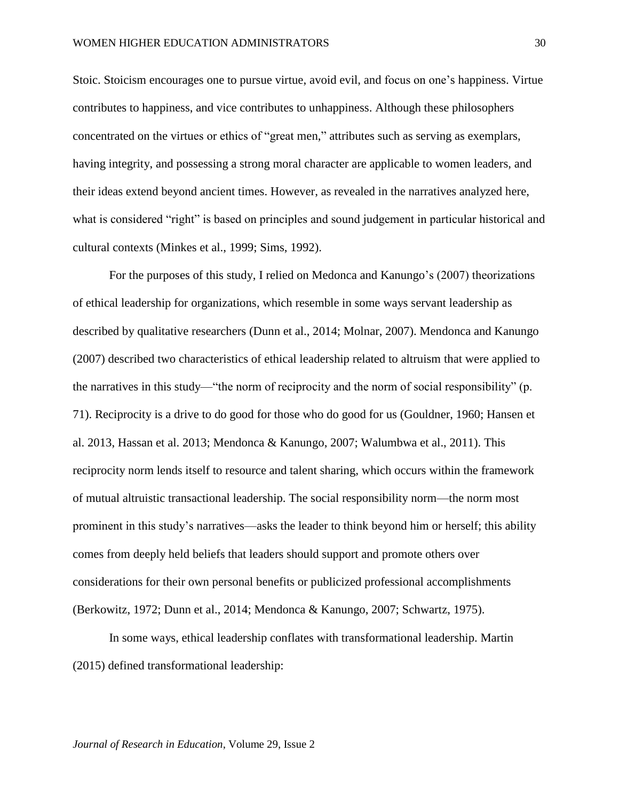Stoic. Stoicism encourages one to pursue virtue, avoid evil, and focus on one's happiness. Virtue contributes to happiness, and vice contributes to unhappiness. Although these philosophers concentrated on the virtues or ethics of "great men," attributes such as serving as exemplars, having integrity, and possessing a strong moral character are applicable to women leaders, and their ideas extend beyond ancient times. However, as revealed in the narratives analyzed here, what is considered "right" is based on principles and sound judgement in particular historical and cultural contexts (Minkes et al., 1999; Sims, 1992).

For the purposes of this study, I relied on Medonca and Kanungo's (2007) theorizations of ethical leadership for organizations, which resemble in some ways servant leadership as described by qualitative researchers (Dunn et al., 2014; Molnar, 2007). Mendonca and Kanungo (2007) described two characteristics of ethical leadership related to altruism that were applied to the narratives in this study—"the norm of reciprocity and the norm of social responsibility" (p. 71). Reciprocity is a drive to do good for those who do good for us (Gouldner, 1960; Hansen et al. 2013, Hassan et al. 2013; Mendonca & Kanungo, 2007; Walumbwa et al., 2011). This reciprocity norm lends itself to resource and talent sharing, which occurs within the framework of mutual altruistic transactional leadership. The social responsibility norm—the norm most prominent in this study's narratives—asks the leader to think beyond him or herself; this ability comes from deeply held beliefs that leaders should support and promote others over considerations for their own personal benefits or publicized professional accomplishments (Berkowitz, 1972; Dunn et al., 2014; Mendonca & Kanungo, 2007; Schwartz, 1975).

In some ways, ethical leadership conflates with transformational leadership. Martin (2015) defined transformational leadership: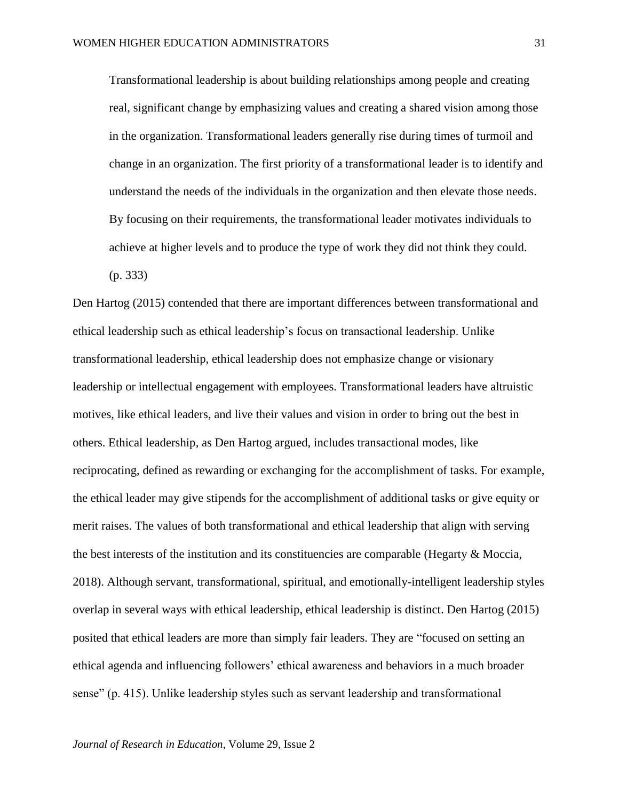Transformational leadership is about building relationships among people and creating real, significant change by emphasizing values and creating a shared vision among those in the organization. Transformational leaders generally rise during times of turmoil and change in an organization. The first priority of a transformational leader is to identify and understand the needs of the individuals in the organization and then elevate those needs. By focusing on their requirements, the transformational leader motivates individuals to achieve at higher levels and to produce the type of work they did not think they could.

(p. 333)

Den Hartog (2015) contended that there are important differences between transformational and ethical leadership such as ethical leadership's focus on transactional leadership. Unlike transformational leadership, ethical leadership does not emphasize change or visionary leadership or intellectual engagement with employees. Transformational leaders have altruistic motives, like ethical leaders, and live their values and vision in order to bring out the best in others. Ethical leadership, as Den Hartog argued, includes transactional modes, like reciprocating, defined as rewarding or exchanging for the accomplishment of tasks. For example, the ethical leader may give stipends for the accomplishment of additional tasks or give equity or merit raises. The values of both transformational and ethical leadership that align with serving the best interests of the institution and its constituencies are comparable (Hegarty & Moccia, 2018). Although servant, transformational, spiritual, and emotionally-intelligent leadership styles overlap in several ways with ethical leadership, ethical leadership is distinct. Den Hartog (2015) posited that ethical leaders are more than simply fair leaders. They are "focused on setting an ethical agenda and influencing followers' ethical awareness and behaviors in a much broader sense" (p. 415). Unlike leadership styles such as servant leadership and transformational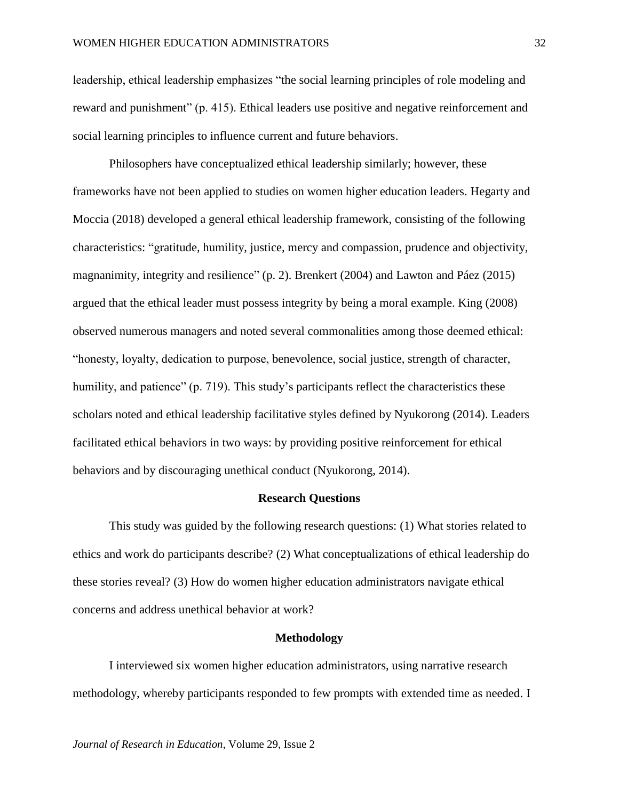leadership, ethical leadership emphasizes "the social learning principles of role modeling and reward and punishment" (p. 415). Ethical leaders use positive and negative reinforcement and social learning principles to influence current and future behaviors.

Philosophers have conceptualized ethical leadership similarly; however, these frameworks have not been applied to studies on women higher education leaders. Hegarty and Moccia (2018) developed a general ethical leadership framework, consisting of the following characteristics: "gratitude, humility, justice, mercy and compassion, prudence and objectivity, magnanimity, integrity and resilience" (p. 2). Brenkert (2004) and Lawton and Páez (2015) argued that the ethical leader must possess integrity by being a moral example. King (2008) observed numerous managers and noted several commonalities among those deemed ethical: "honesty, loyalty, dedication to purpose, benevolence, social justice, strength of character, humility, and patience" (p. 719). This study's participants reflect the characteristics these scholars noted and ethical leadership facilitative styles defined by Nyukorong (2014). Leaders facilitated ethical behaviors in two ways: by providing positive reinforcement for ethical behaviors and by discouraging unethical conduct (Nyukorong, 2014).

## **Research Questions**

This study was guided by the following research questions: (1) What stories related to ethics and work do participants describe? (2) What conceptualizations of ethical leadership do these stories reveal? (3) How do women higher education administrators navigate ethical concerns and address unethical behavior at work?

## **Methodology**

I interviewed six women higher education administrators, using narrative research methodology, whereby participants responded to few prompts with extended time as needed. I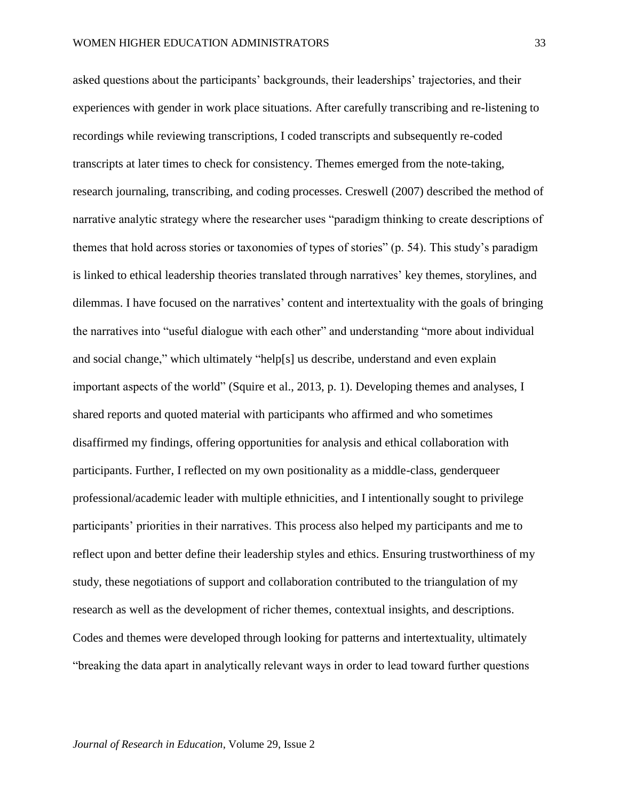asked questions about the participants' backgrounds, their leaderships' trajectories, and their experiences with gender in work place situations. After carefully transcribing and re-listening to recordings while reviewing transcriptions, I coded transcripts and subsequently re-coded transcripts at later times to check for consistency. Themes emerged from the note-taking, research journaling, transcribing, and coding processes. Creswell (2007) described the method of narrative analytic strategy where the researcher uses "paradigm thinking to create descriptions of themes that hold across stories or taxonomies of types of stories" (p. 54). This study's paradigm is linked to ethical leadership theories translated through narratives' key themes, storylines, and dilemmas. I have focused on the narratives' content and intertextuality with the goals of bringing the narratives into "useful dialogue with each other" and understanding "more about individual and social change," which ultimately "help[s] us describe, understand and even explain important aspects of the world" (Squire et al., 2013, p. 1). Developing themes and analyses, I shared reports and quoted material with participants who affirmed and who sometimes disaffirmed my findings, offering opportunities for analysis and ethical collaboration with participants. Further, I reflected on my own positionality as a middle-class, genderqueer professional/academic leader with multiple ethnicities, and I intentionally sought to privilege participants' priorities in their narratives. This process also helped my participants and me to reflect upon and better define their leadership styles and ethics. Ensuring trustworthiness of my study, these negotiations of support and collaboration contributed to the triangulation of my research as well as the development of richer themes, contextual insights, and descriptions. Codes and themes were developed through looking for patterns and intertextuality, ultimately "breaking the data apart in analytically relevant ways in order to lead toward further questions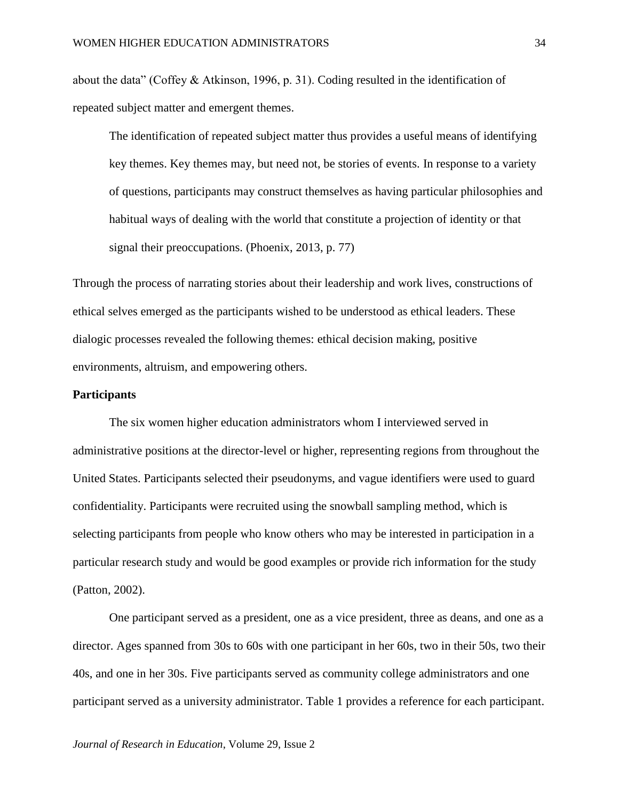about the data" (Coffey & Atkinson, 1996, p. 31). Coding resulted in the identification of repeated subject matter and emergent themes.

The identification of repeated subject matter thus provides a useful means of identifying key themes. Key themes may, but need not, be stories of events. In response to a variety of questions, participants may construct themselves as having particular philosophies and habitual ways of dealing with the world that constitute a projection of identity or that signal their preoccupations. (Phoenix, 2013, p. 77)

Through the process of narrating stories about their leadership and work lives, constructions of ethical selves emerged as the participants wished to be understood as ethical leaders. These dialogic processes revealed the following themes: ethical decision making, positive environments, altruism, and empowering others.

## **Participants**

The six women higher education administrators whom I interviewed served in administrative positions at the director-level or higher, representing regions from throughout the United States. Participants selected their pseudonyms, and vague identifiers were used to guard confidentiality. Participants were recruited using the snowball sampling method, which is selecting participants from people who know others who may be interested in participation in a particular research study and would be good examples or provide rich information for the study (Patton, 2002).

One participant served as a president, one as a vice president, three as deans, and one as a director. Ages spanned from 30s to 60s with one participant in her 60s, two in their 50s, two their 40s, and one in her 30s. Five participants served as community college administrators and one participant served as a university administrator. Table 1 provides a reference for each participant.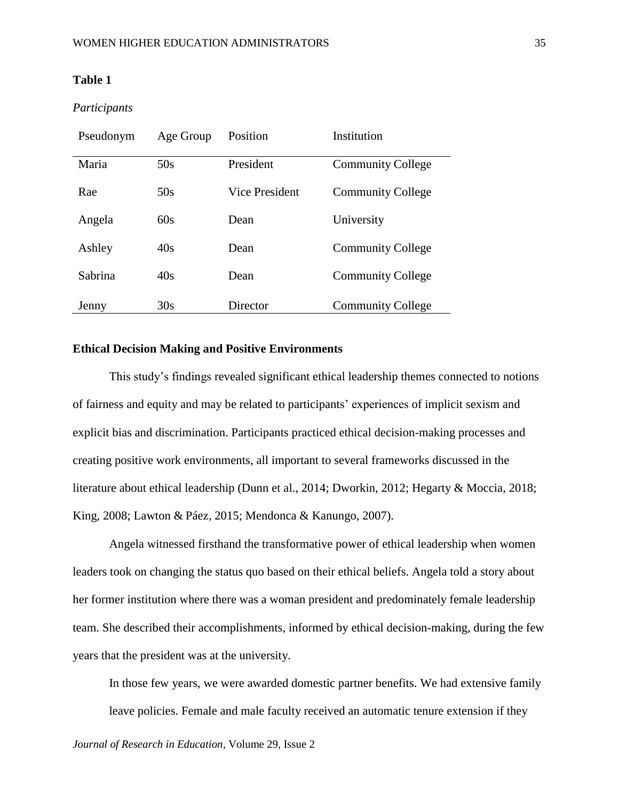# **Table 1**

# *Participants*

| Pseudonym | Age Group | Position              | Institution              |
|-----------|-----------|-----------------------|--------------------------|
| Maria     | 50s       | President             | <b>Community College</b> |
| Rae       | 50s       | <b>Vice President</b> | <b>Community College</b> |
| Angela    | 60s       | Dean                  | University               |
| Ashley    | 40s       | Dean                  | <b>Community College</b> |
| Sabrina   | 40s       | Dean                  | <b>Community College</b> |
| Jenny     | 30s       | Director              | <b>Community College</b> |

# **Ethical Decision Making and Positive Environments**

This study's findings revealed significant ethical leadership themes connected to notions of fairness and equity and may be related to participants' experiences of implicit sexism and explicit bias and discrimination. Participants practiced ethical decision-making processes and creating positive work environments, all important to several frameworks discussed in the literature about ethical leadership (Dunn et al., 2014; Dworkin, 2012; Hegarty & Moccia, 2018; King, 2008; Lawton & Páez, 2015; Mendonca & Kanungo, 2007).

Angela witnessed firsthand the transformative power of ethical leadership when women leaders took on changing the status quo based on their ethical beliefs. Angela told a story about her former institution where there was a woman president and predominately female leadership team. She described their accomplishments, informed by ethical decision-making, during the few years that the president was at the university.

In those few years, we were awarded domestic partner benefits. We had extensive family leave policies. Female and male faculty received an automatic tenure extension if they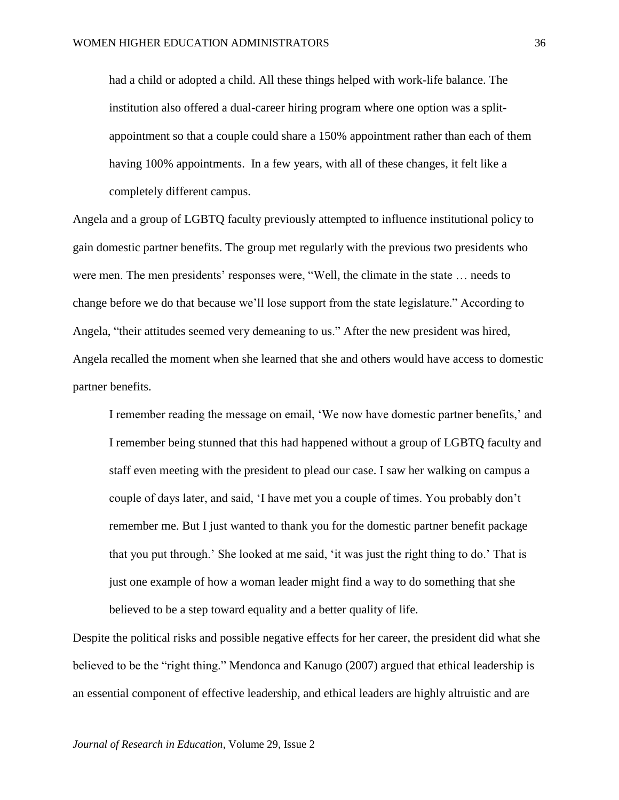had a child or adopted a child. All these things helped with work-life balance. The institution also offered a dual-career hiring program where one option was a splitappointment so that a couple could share a 150% appointment rather than each of them having 100% appointments. In a few years, with all of these changes, it felt like a completely different campus.

Angela and a group of LGBTQ faculty previously attempted to influence institutional policy to gain domestic partner benefits. The group met regularly with the previous two presidents who were men. The men presidents' responses were, "Well, the climate in the state … needs to change before we do that because we'll lose support from the state legislature." According to Angela, "their attitudes seemed very demeaning to us." After the new president was hired, Angela recalled the moment when she learned that she and others would have access to domestic partner benefits.

I remember reading the message on email, 'We now have domestic partner benefits,' and I remember being stunned that this had happened without a group of LGBTQ faculty and staff even meeting with the president to plead our case. I saw her walking on campus a couple of days later, and said, 'I have met you a couple of times. You probably don't remember me. But I just wanted to thank you for the domestic partner benefit package that you put through.' She looked at me said, 'it was just the right thing to do.' That is just one example of how a woman leader might find a way to do something that she believed to be a step toward equality and a better quality of life.

Despite the political risks and possible negative effects for her career, the president did what she believed to be the "right thing." Mendonca and Kanugo (2007) argued that ethical leadership is an essential component of effective leadership, and ethical leaders are highly altruistic and are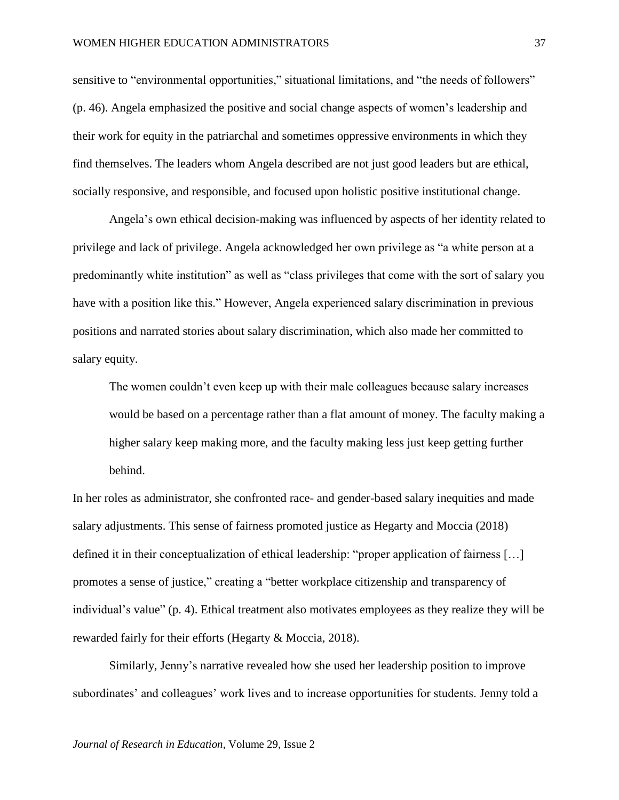sensitive to "environmental opportunities," situational limitations, and "the needs of followers" (p. 46). Angela emphasized the positive and social change aspects of women's leadership and their work for equity in the patriarchal and sometimes oppressive environments in which they find themselves. The leaders whom Angela described are not just good leaders but are ethical, socially responsive, and responsible, and focused upon holistic positive institutional change.

Angela's own ethical decision-making was influenced by aspects of her identity related to privilege and lack of privilege. Angela acknowledged her own privilege as "a white person at a predominantly white institution" as well as "class privileges that come with the sort of salary you have with a position like this." However, Angela experienced salary discrimination in previous positions and narrated stories about salary discrimination, which also made her committed to salary equity.

The women couldn't even keep up with their male colleagues because salary increases would be based on a percentage rather than a flat amount of money. The faculty making a higher salary keep making more, and the faculty making less just keep getting further behind.

In her roles as administrator, she confronted race- and gender-based salary inequities and made salary adjustments. This sense of fairness promoted justice as Hegarty and Moccia (2018) defined it in their conceptualization of ethical leadership: "proper application of fairness […] promotes a sense of justice," creating a "better workplace citizenship and transparency of individual's value" (p. 4). Ethical treatment also motivates employees as they realize they will be rewarded fairly for their efforts (Hegarty & Moccia, 2018).

Similarly, Jenny's narrative revealed how she used her leadership position to improve subordinates' and colleagues' work lives and to increase opportunities for students. Jenny told a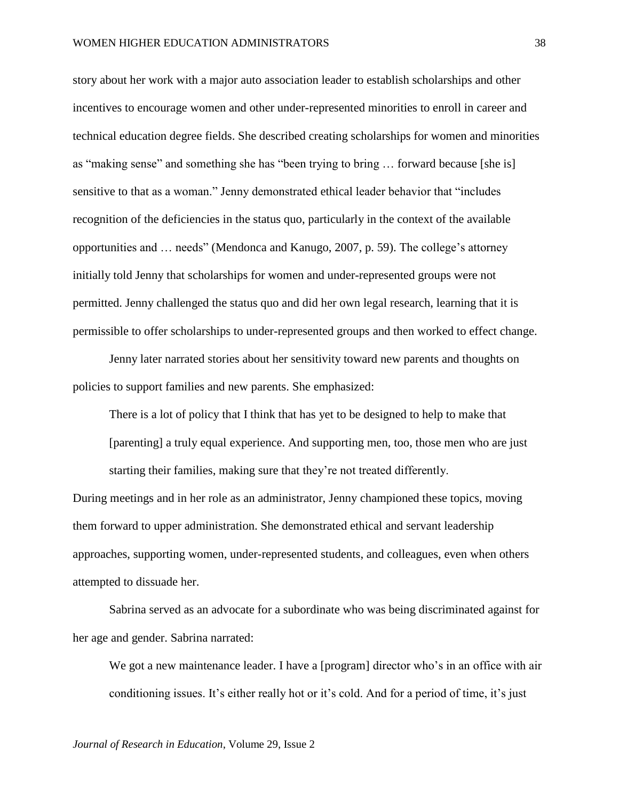story about her work with a major auto association leader to establish scholarships and other incentives to encourage women and other under-represented minorities to enroll in career and technical education degree fields. She described creating scholarships for women and minorities as "making sense" and something she has "been trying to bring … forward because [she is] sensitive to that as a woman." Jenny demonstrated ethical leader behavior that "includes recognition of the deficiencies in the status quo, particularly in the context of the available opportunities and … needs" (Mendonca and Kanugo, 2007, p. 59). The college's attorney initially told Jenny that scholarships for women and under-represented groups were not permitted. Jenny challenged the status quo and did her own legal research, learning that it is permissible to offer scholarships to under-represented groups and then worked to effect change.

Jenny later narrated stories about her sensitivity toward new parents and thoughts on policies to support families and new parents. She emphasized:

There is a lot of policy that I think that has yet to be designed to help to make that [parenting] a truly equal experience. And supporting men, too, those men who are just starting their families, making sure that they're not treated differently.

During meetings and in her role as an administrator, Jenny championed these topics, moving them forward to upper administration. She demonstrated ethical and servant leadership approaches, supporting women, under-represented students, and colleagues, even when others attempted to dissuade her.

Sabrina served as an advocate for a subordinate who was being discriminated against for her age and gender. Sabrina narrated:

We got a new maintenance leader. I have a [program] director who's in an office with air conditioning issues. It's either really hot or it's cold. And for a period of time, it's just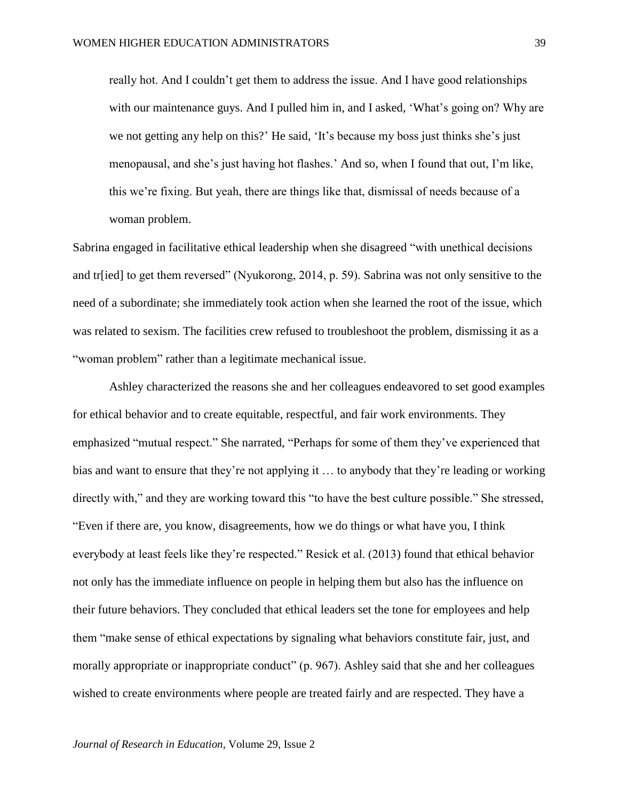really hot. And I couldn't get them to address the issue. And I have good relationships with our maintenance guys. And I pulled him in, and I asked, 'What's going on? Why are we not getting any help on this?' He said, 'It's because my boss just thinks she's just menopausal, and she's just having hot flashes.' And so, when I found that out, I'm like, this we're fixing. But yeah, there are things like that, dismissal of needs because of a woman problem.

Sabrina engaged in facilitative ethical leadership when she disagreed "with unethical decisions and tr[ied] to get them reversed" (Nyukorong, 2014, p. 59). Sabrina was not only sensitive to the need of a subordinate; she immediately took action when she learned the root of the issue, which was related to sexism. The facilities crew refused to troubleshoot the problem, dismissing it as a "woman problem" rather than a legitimate mechanical issue.

Ashley characterized the reasons she and her colleagues endeavored to set good examples for ethical behavior and to create equitable, respectful, and fair work environments. They emphasized "mutual respect." She narrated, "Perhaps for some of them they've experienced that bias and want to ensure that they're not applying it … to anybody that they're leading or working directly with," and they are working toward this "to have the best culture possible." She stressed, "Even if there are, you know, disagreements, how we do things or what have you, I think everybody at least feels like they're respected." Resick et al. (2013) found that ethical behavior not only has the immediate influence on people in helping them but also has the influence on their future behaviors. They concluded that ethical leaders set the tone for employees and help them "make sense of ethical expectations by signaling what behaviors constitute fair, just, and morally appropriate or inappropriate conduct" (p. 967). Ashley said that she and her colleagues wished to create environments where people are treated fairly and are respected. They have a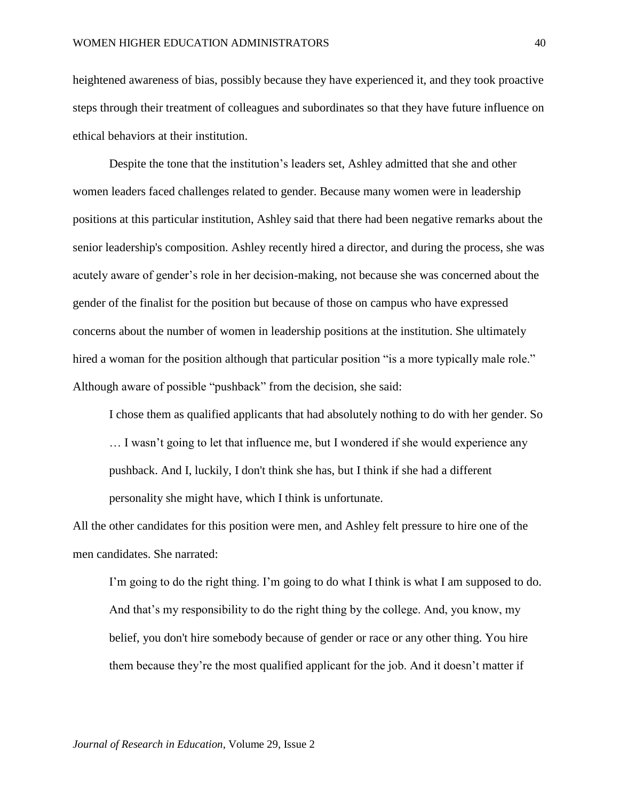heightened awareness of bias, possibly because they have experienced it, and they took proactive steps through their treatment of colleagues and subordinates so that they have future influence on ethical behaviors at their institution.

Despite the tone that the institution's leaders set, Ashley admitted that she and other women leaders faced challenges related to gender. Because many women were in leadership positions at this particular institution, Ashley said that there had been negative remarks about the senior leadership's composition. Ashley recently hired a director, and during the process, she was acutely aware of gender's role in her decision-making, not because she was concerned about the gender of the finalist for the position but because of those on campus who have expressed concerns about the number of women in leadership positions at the institution. She ultimately hired a woman for the position although that particular position "is a more typically male role." Although aware of possible "pushback" from the decision, she said:

I chose them as qualified applicants that had absolutely nothing to do with her gender. So … I wasn't going to let that influence me, but I wondered if she would experience any pushback. And I, luckily, I don't think she has, but I think if she had a different personality she might have, which I think is unfortunate.

All the other candidates for this position were men, and Ashley felt pressure to hire one of the men candidates. She narrated:

I'm going to do the right thing. I'm going to do what I think is what I am supposed to do. And that's my responsibility to do the right thing by the college. And, you know, my belief, you don't hire somebody because of gender or race or any other thing. You hire them because they're the most qualified applicant for the job. And it doesn't matter if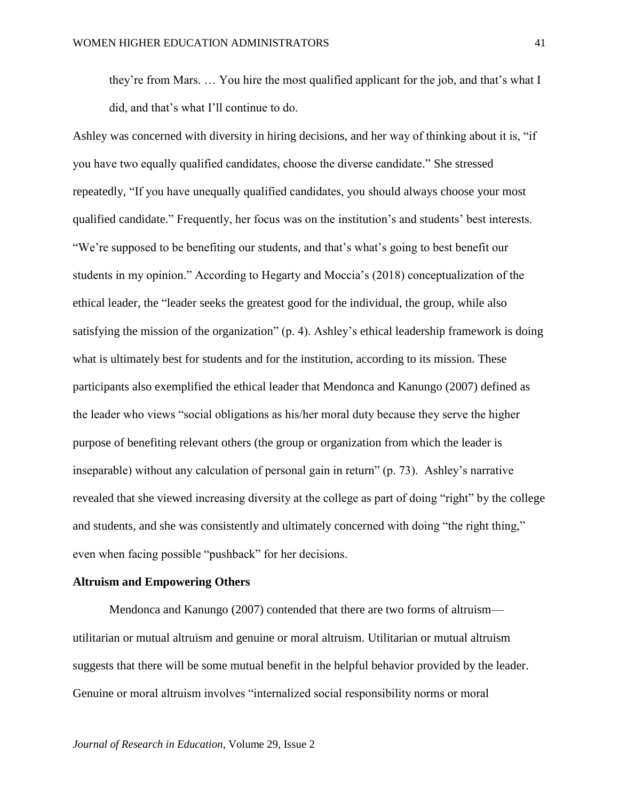they're from Mars. … You hire the most qualified applicant for the job, and that's what I did, and that's what I'll continue to do.

Ashley was concerned with diversity in hiring decisions, and her way of thinking about it is, "if you have two equally qualified candidates, choose the diverse candidate." She stressed repeatedly, "If you have unequally qualified candidates, you should always choose your most qualified candidate." Frequently, her focus was on the institution's and students' best interests. "We're supposed to be benefiting our students, and that's what's going to best benefit our students in my opinion." According to Hegarty and Moccia's (2018) conceptualization of the ethical leader, the "leader seeks the greatest good for the individual, the group, while also satisfying the mission of the organization" (p. 4). Ashley's ethical leadership framework is doing what is ultimately best for students and for the institution, according to its mission. These participants also exemplified the ethical leader that Mendonca and Kanungo (2007) defined as the leader who views "social obligations as his/her moral duty because they serve the higher purpose of benefiting relevant others (the group or organization from which the leader is inseparable) without any calculation of personal gain in return" (p. 73). Ashley's narrative revealed that she viewed increasing diversity at the college as part of doing "right" by the college and students, and she was consistently and ultimately concerned with doing "the right thing," even when facing possible "pushback" for her decisions.

## **Altruism and Empowering Others**

Mendonca and Kanungo (2007) contended that there are two forms of altruism utilitarian or mutual altruism and genuine or moral altruism. Utilitarian or mutual altruism suggests that there will be some mutual benefit in the helpful behavior provided by the leader. Genuine or moral altruism involves "internalized social responsibility norms or moral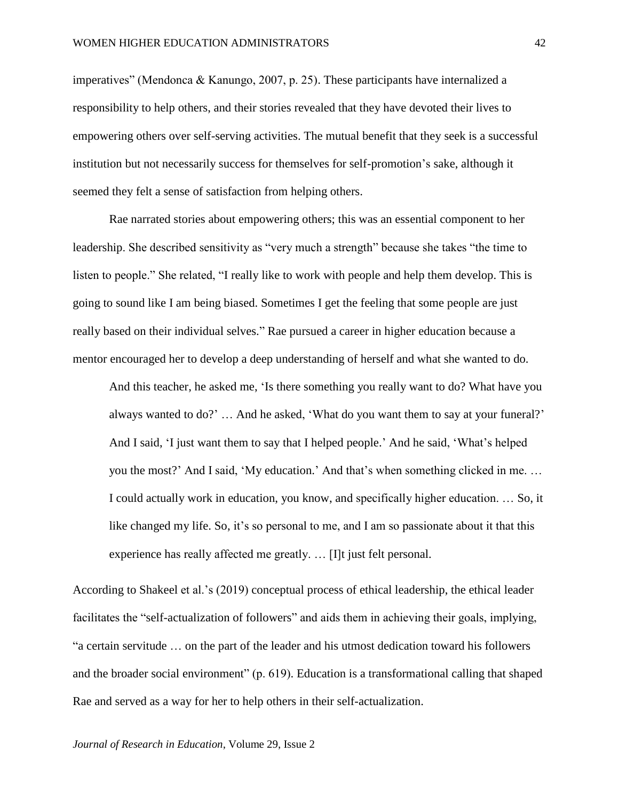imperatives" (Mendonca & Kanungo, 2007, p. 25). These participants have internalized a responsibility to help others, and their stories revealed that they have devoted their lives to empowering others over self-serving activities. The mutual benefit that they seek is a successful institution but not necessarily success for themselves for self-promotion's sake, although it seemed they felt a sense of satisfaction from helping others.

Rae narrated stories about empowering others; this was an essential component to her leadership. She described sensitivity as "very much a strength" because she takes "the time to listen to people." She related, "I really like to work with people and help them develop. This is going to sound like I am being biased. Sometimes I get the feeling that some people are just really based on their individual selves." Rae pursued a career in higher education because a mentor encouraged her to develop a deep understanding of herself and what she wanted to do.

And this teacher, he asked me, 'Is there something you really want to do? What have you always wanted to do?' … And he asked, 'What do you want them to say at your funeral?' And I said, 'I just want them to say that I helped people.' And he said, 'What's helped you the most?' And I said, 'My education.' And that's when something clicked in me. … I could actually work in education, you know, and specifically higher education. … So, it like changed my life. So, it's so personal to me, and I am so passionate about it that this experience has really affected me greatly. … [I]t just felt personal.

According to Shakeel et al.'s (2019) conceptual process of ethical leadership, the ethical leader facilitates the "self-actualization of followers" and aids them in achieving their goals, implying, "a certain servitude … on the part of the leader and his utmost dedication toward his followers and the broader social environment" (p. 619). Education is a transformational calling that shaped Rae and served as a way for her to help others in their self-actualization.

*Journal of Research in Education*, Volume 29, Issue 2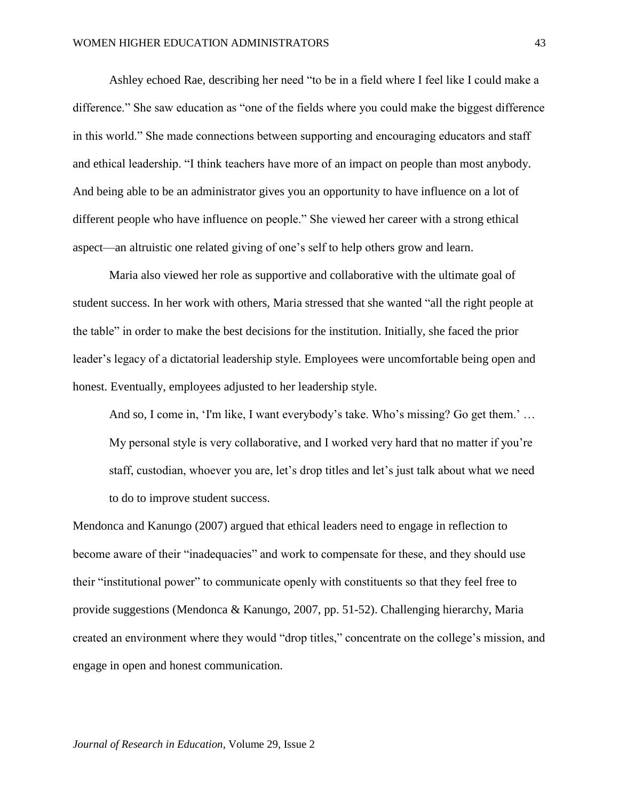Ashley echoed Rae, describing her need "to be in a field where I feel like I could make a difference." She saw education as "one of the fields where you could make the biggest difference in this world." She made connections between supporting and encouraging educators and staff and ethical leadership. "I think teachers have more of an impact on people than most anybody. And being able to be an administrator gives you an opportunity to have influence on a lot of different people who have influence on people." She viewed her career with a strong ethical aspect—an altruistic one related giving of one's self to help others grow and learn.

Maria also viewed her role as supportive and collaborative with the ultimate goal of student success. In her work with others, Maria stressed that she wanted "all the right people at the table" in order to make the best decisions for the institution. Initially, she faced the prior leader's legacy of a dictatorial leadership style. Employees were uncomfortable being open and honest. Eventually, employees adjusted to her leadership style.

And so, I come in, 'I'm like, I want everybody's take. Who's missing? Go get them.' … My personal style is very collaborative, and I worked very hard that no matter if you're staff, custodian, whoever you are, let's drop titles and let's just talk about what we need to do to improve student success.

Mendonca and Kanungo (2007) argued that ethical leaders need to engage in reflection to become aware of their "inadequacies" and work to compensate for these, and they should use their "institutional power" to communicate openly with constituents so that they feel free to provide suggestions (Mendonca & Kanungo, 2007, pp. 51-52). Challenging hierarchy, Maria created an environment where they would "drop titles," concentrate on the college's mission, and engage in open and honest communication.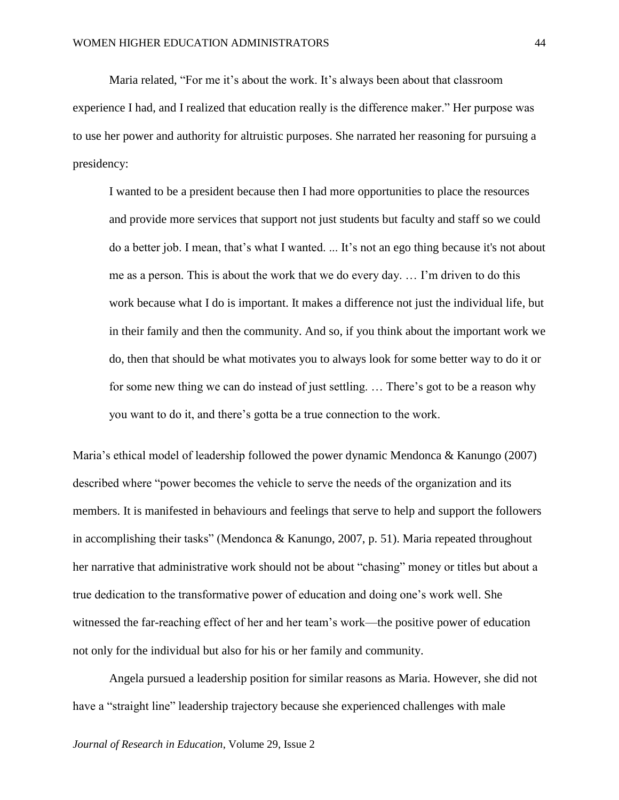Maria related, "For me it's about the work. It's always been about that classroom experience I had, and I realized that education really is the difference maker." Her purpose was to use her power and authority for altruistic purposes. She narrated her reasoning for pursuing a presidency:

I wanted to be a president because then I had more opportunities to place the resources and provide more services that support not just students but faculty and staff so we could do a better job. I mean, that's what I wanted. ... It's not an ego thing because it's not about me as a person. This is about the work that we do every day. … I'm driven to do this work because what I do is important. It makes a difference not just the individual life, but in their family and then the community. And so, if you think about the important work we do, then that should be what motivates you to always look for some better way to do it or for some new thing we can do instead of just settling. … There's got to be a reason why you want to do it, and there's gotta be a true connection to the work.

Maria's ethical model of leadership followed the power dynamic Mendonca & Kanungo (2007) described where "power becomes the vehicle to serve the needs of the organization and its members. It is manifested in behaviours and feelings that serve to help and support the followers in accomplishing their tasks" (Mendonca & Kanungo, 2007, p. 51). Maria repeated throughout her narrative that administrative work should not be about "chasing" money or titles but about a true dedication to the transformative power of education and doing one's work well. She witnessed the far-reaching effect of her and her team's work—the positive power of education not only for the individual but also for his or her family and community.

Angela pursued a leadership position for similar reasons as Maria. However, she did not have a "straight line" leadership trajectory because she experienced challenges with male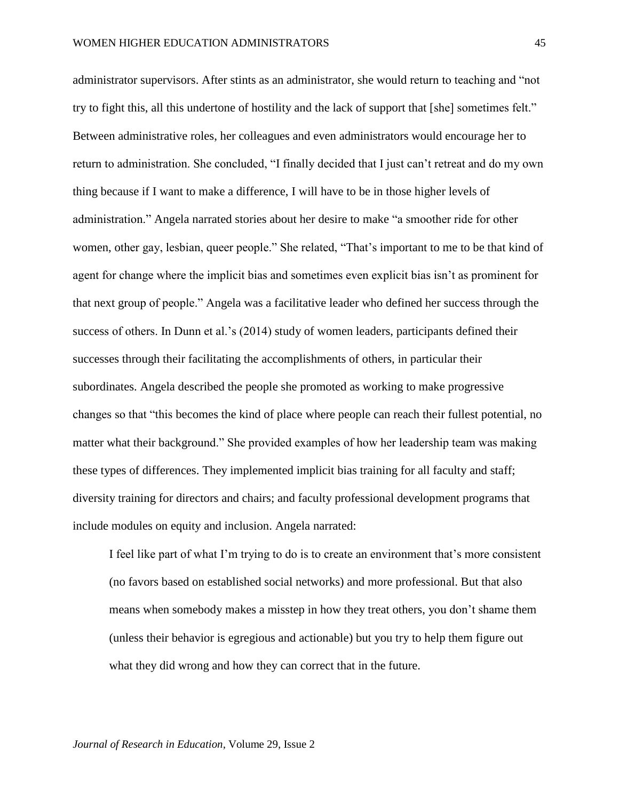administrator supervisors. After stints as an administrator, she would return to teaching and "not try to fight this, all this undertone of hostility and the lack of support that [she] sometimes felt." Between administrative roles, her colleagues and even administrators would encourage her to return to administration. She concluded, "I finally decided that I just can't retreat and do my own thing because if I want to make a difference, I will have to be in those higher levels of administration." Angela narrated stories about her desire to make "a smoother ride for other women, other gay, lesbian, queer people." She related, "That's important to me to be that kind of agent for change where the implicit bias and sometimes even explicit bias isn't as prominent for that next group of people." Angela was a facilitative leader who defined her success through the success of others. In Dunn et al.'s (2014) study of women leaders, participants defined their successes through their facilitating the accomplishments of others, in particular their subordinates. Angela described the people she promoted as working to make progressive changes so that "this becomes the kind of place where people can reach their fullest potential, no matter what their background." She provided examples of how her leadership team was making these types of differences. They implemented implicit bias training for all faculty and staff; diversity training for directors and chairs; and faculty professional development programs that include modules on equity and inclusion. Angela narrated:

I feel like part of what I'm trying to do is to create an environment that's more consistent (no favors based on established social networks) and more professional. But that also means when somebody makes a misstep in how they treat others, you don't shame them (unless their behavior is egregious and actionable) but you try to help them figure out what they did wrong and how they can correct that in the future.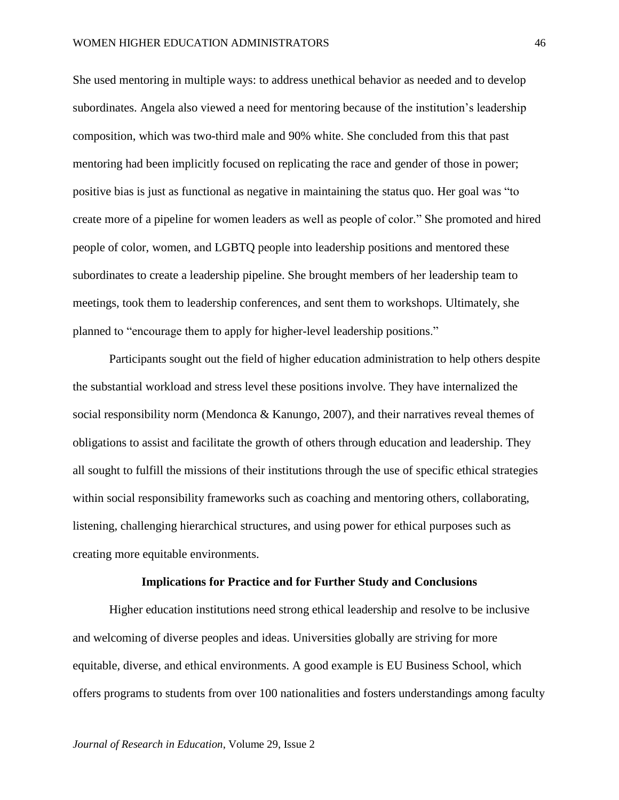She used mentoring in multiple ways: to address unethical behavior as needed and to develop subordinates. Angela also viewed a need for mentoring because of the institution's leadership composition, which was two-third male and 90% white. She concluded from this that past mentoring had been implicitly focused on replicating the race and gender of those in power; positive bias is just as functional as negative in maintaining the status quo. Her goal was "to create more of a pipeline for women leaders as well as people of color." She promoted and hired people of color, women, and LGBTQ people into leadership positions and mentored these subordinates to create a leadership pipeline. She brought members of her leadership team to meetings, took them to leadership conferences, and sent them to workshops. Ultimately, she planned to "encourage them to apply for higher-level leadership positions."

Participants sought out the field of higher education administration to help others despite the substantial workload and stress level these positions involve. They have internalized the social responsibility norm (Mendonca  $&$  Kanungo, 2007), and their narratives reveal themes of obligations to assist and facilitate the growth of others through education and leadership. They all sought to fulfill the missions of their institutions through the use of specific ethical strategies within social responsibility frameworks such as coaching and mentoring others, collaborating, listening, challenging hierarchical structures, and using power for ethical purposes such as creating more equitable environments.

#### **Implications for Practice and for Further Study and Conclusions**

Higher education institutions need strong ethical leadership and resolve to be inclusive and welcoming of diverse peoples and ideas. Universities globally are striving for more equitable, diverse, and ethical environments. A good example is EU Business School, which offers programs to students from over 100 nationalities and fosters understandings among faculty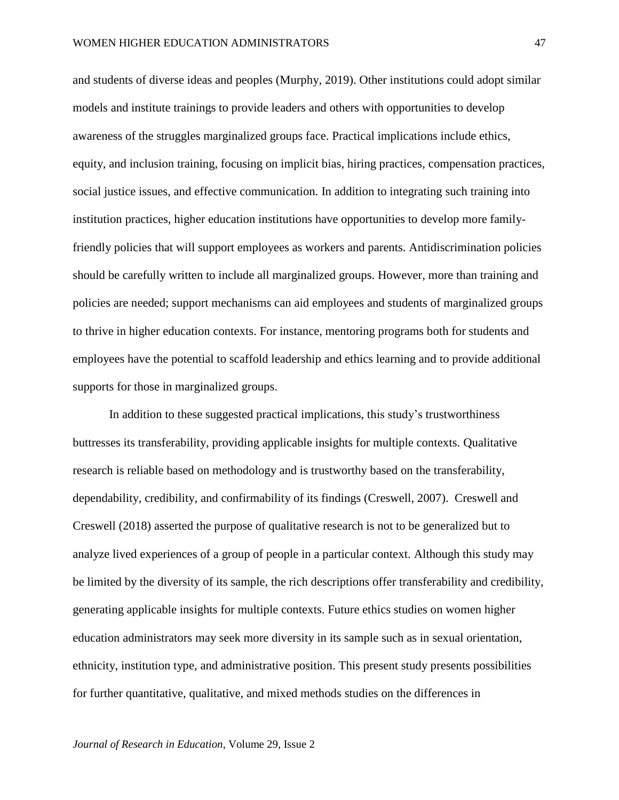and students of diverse ideas and peoples (Murphy, 2019). Other institutions could adopt similar models and institute trainings to provide leaders and others with opportunities to develop awareness of the struggles marginalized groups face. Practical implications include ethics, equity, and inclusion training, focusing on implicit bias, hiring practices, compensation practices, social justice issues, and effective communication. In addition to integrating such training into institution practices, higher education institutions have opportunities to develop more familyfriendly policies that will support employees as workers and parents. Antidiscrimination policies should be carefully written to include all marginalized groups. However, more than training and policies are needed; support mechanisms can aid employees and students of marginalized groups to thrive in higher education contexts. For instance, mentoring programs both for students and employees have the potential to scaffold leadership and ethics learning and to provide additional supports for those in marginalized groups.

In addition to these suggested practical implications, this study's trustworthiness buttresses its transferability, providing applicable insights for multiple contexts. Qualitative research is reliable based on methodology and is trustworthy based on the transferability, dependability, credibility, and confirmability of its findings (Creswell, 2007). Creswell and Creswell (2018) asserted the purpose of qualitative research is not to be generalized but to analyze lived experiences of a group of people in a particular context. Although this study may be limited by the diversity of its sample, the rich descriptions offer transferability and credibility, generating applicable insights for multiple contexts. Future ethics studies on women higher education administrators may seek more diversity in its sample such as in sexual orientation, ethnicity, institution type, and administrative position. This present study presents possibilities for further quantitative, qualitative, and mixed methods studies on the differences in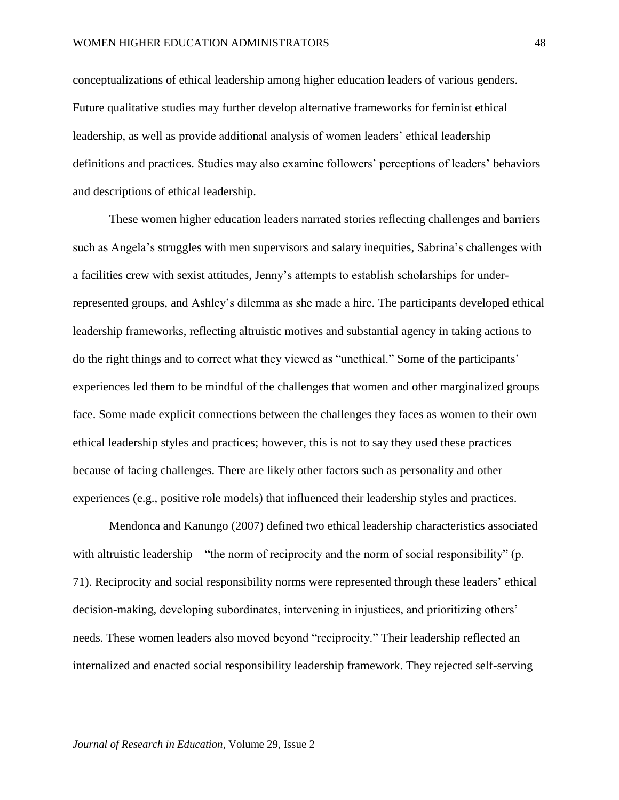conceptualizations of ethical leadership among higher education leaders of various genders. Future qualitative studies may further develop alternative frameworks for feminist ethical leadership, as well as provide additional analysis of women leaders' ethical leadership definitions and practices. Studies may also examine followers' perceptions of leaders' behaviors and descriptions of ethical leadership.

These women higher education leaders narrated stories reflecting challenges and barriers such as Angela's struggles with men supervisors and salary inequities, Sabrina's challenges with a facilities crew with sexist attitudes, Jenny's attempts to establish scholarships for underrepresented groups, and Ashley's dilemma as she made a hire. The participants developed ethical leadership frameworks, reflecting altruistic motives and substantial agency in taking actions to do the right things and to correct what they viewed as "unethical." Some of the participants' experiences led them to be mindful of the challenges that women and other marginalized groups face. Some made explicit connections between the challenges they faces as women to their own ethical leadership styles and practices; however, this is not to say they used these practices because of facing challenges. There are likely other factors such as personality and other experiences (e.g., positive role models) that influenced their leadership styles and practices.

Mendonca and Kanungo (2007) defined two ethical leadership characteristics associated with altruistic leadership—"the norm of reciprocity and the norm of social responsibility" (p. 71). Reciprocity and social responsibility norms were represented through these leaders' ethical decision-making, developing subordinates, intervening in injustices, and prioritizing others' needs. These women leaders also moved beyond "reciprocity." Their leadership reflected an internalized and enacted social responsibility leadership framework. They rejected self-serving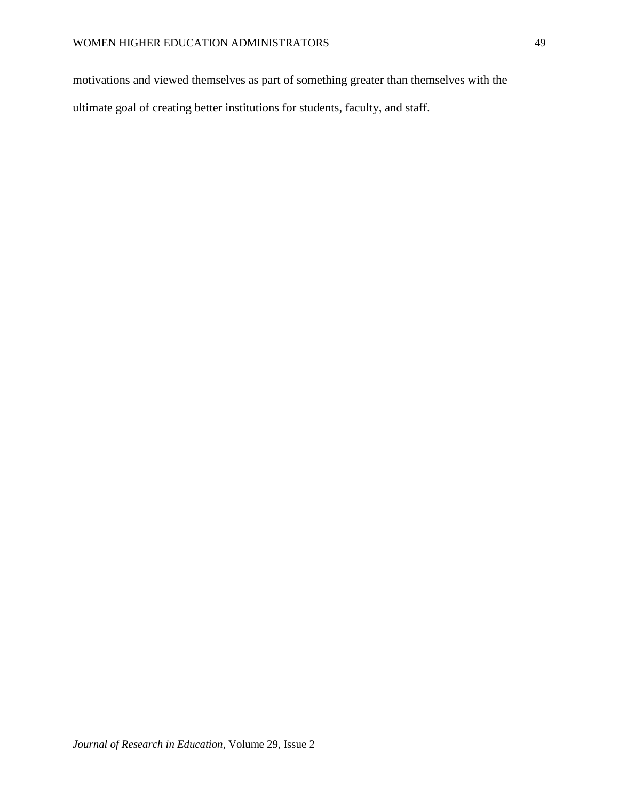motivations and viewed themselves as part of something greater than themselves with the ultimate goal of creating better institutions for students, faculty, and staff.

49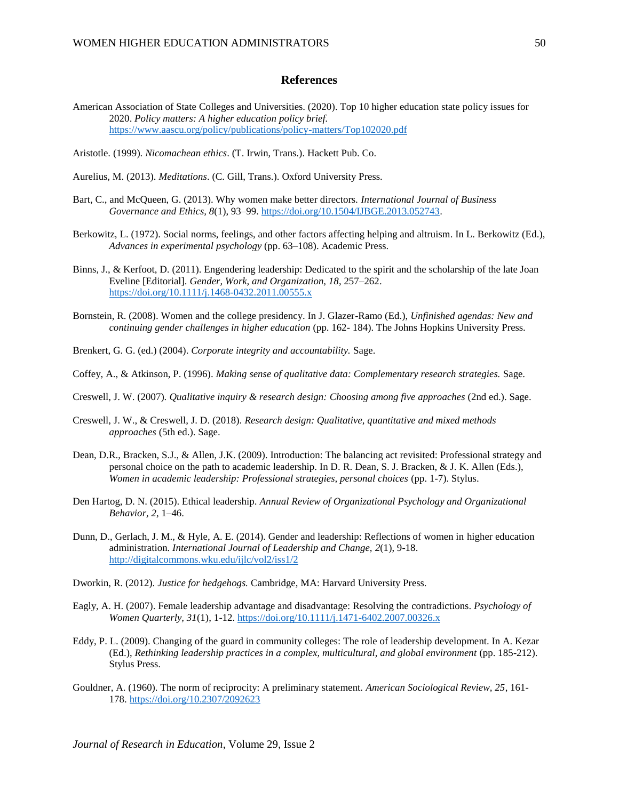### **References**

- American Association of State Colleges and Universities. (2020). Top 10 higher education state policy issues for 2020. *Policy matters: A higher education policy brief.* <https://www.aascu.org/policy/publications/policy-matters/Top102020.pdf>
- Aristotle. (1999). *Nicomachean ethics*. (T. Irwin, Trans.). Hackett Pub. Co.
- Aurelius, M. (2013). *Meditations*. (C. Gill, Trans.). Oxford University Press.
- Bart, C., and McQueen, G. (2013). Why women make better directors. *International Journal of Business Governance and Ethics, 8*(1), 93–99. [https://doi.org/10.1504/IJBGE.2013.052743.](https://doi.org/10.1504/IJBGE.2013.052743)
- Berkowitz, L. (1972). Social norms, feelings, and other factors affecting helping and altruism. In L. Berkowitz (Ed.), *Advances in experimental psychology* (pp. 63–108). Academic Press.
- Binns, J., & Kerfoot, D. (2011). Engendering leadership: Dedicated to the spirit and the scholarship of the late Joan Eveline [Editorial]. *Gender, Work, and Organization, 18*, 257–262. <https://doi.org/10.1111/j.1468-0432.2011.00555.x>
- Bornstein, R. (2008). Women and the college presidency. In J. Glazer-Ramo (Ed.), *Unfinished agendas: New and continuing gender challenges in higher education* (pp. 162- 184). The Johns Hopkins University Press.

Brenkert, G. G. (ed.) (2004). *Corporate integrity and accountability.* Sage.

- Coffey, A., & Atkinson, P. (1996). *Making sense of qualitative data: Complementary research strategies.* Sage.
- Creswell, J. W. (2007). *Qualitative inquiry & research design: Choosing among five approaches* (2nd ed.). Sage.
- Creswell, J. W., & Creswell, J. D. (2018). *Research design: Qualitative, quantitative and mixed methods approaches* (5th ed.). Sage.
- Dean, D.R., Bracken, S.J., & Allen, J.K. (2009). Introduction: The balancing act revisited: Professional strategy and personal choice on the path to academic leadership. In D. R. Dean, S. J. Bracken, & J. K. Allen (Eds.), *Women in academic leadership: Professional strategies, personal choices (pp. 1-7). Stylus.*
- Den Hartog, D. N. (2015). Ethical leadership. *Annual Review of Organizational Psychology and Organizational Behavior, 2*, 1–46.
- Dunn, D., Gerlach, J. M., & Hyle, A. E. (2014). Gender and leadership: Reflections of women in higher education administration. *International Journal of Leadership and Change, 2*(1), 9-18. <http://digitalcommons.wku.edu/ijlc/vol2/iss1/2>
- Dworkin, R. (2012). *Justice for hedgehogs.* Cambridge, MA: Harvard University Press.
- Eagly, A. H. (2007). Female leadership advantage and disadvantage: Resolving the contradictions. *Psychology of Women Quarterly, 31*(1), 1-12.<https://doi.org/10.1111/j.1471-6402.2007.00326.x>
- Eddy, P. L. (2009). Changing of the guard in community colleges: The role of leadership development. In A. Kezar (Ed.), *Rethinking leadership practices in a complex, multicultural, and global environment* (pp. 185-212). Stylus Press.
- Gouldner, A. (1960). The norm of reciprocity: A preliminary statement. *American Sociological Review, 25*, 161- 178.<https://doi.org/10.2307/2092623>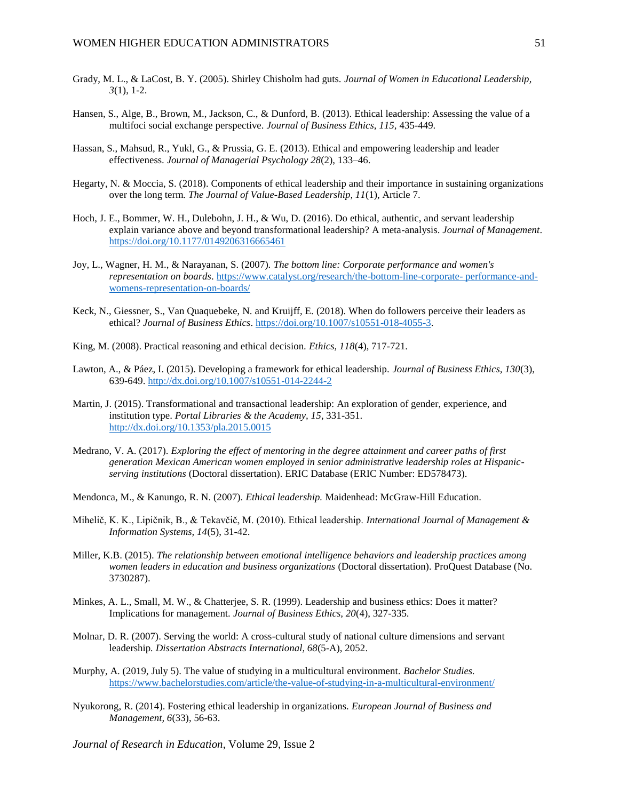- Grady, M. L., & LaCost, B. Y. (2005). Shirley Chisholm had guts. *Journal of Women in Educational Leadership, 3*(1), 1-2.
- Hansen, S., Alge, B., Brown, M., Jackson, C., & Dunford, B. (2013). Ethical leadership: Assessing the value of a multifoci social exchange perspective. *Journal of Business Ethics, 115,* 435-449.
- Hassan, S., Mahsud, R., Yukl, G., & Prussia, G. E. (2013). Ethical and empowering leadership and leader effectiveness. *Journal of Managerial Psychology 28*(2), 133–46.
- Hegarty, N. & Moccia, S. (2018). Components of ethical leadership and their importance in sustaining organizations over the long term*. The Journal of Value-Based Leadership, 11*(1), Article 7.
- Hoch, J. E., Bommer, W. H., Dulebohn, J. H., & Wu, D. (2016). Do ethical, authentic, and servant leadership explain variance above and beyond transformational leadership? A meta-analysis. *Journal of Management*. <https://doi.org/10.1177/0149206316665461>
- Joy, L., Wagner, H. M., & Narayanan, S. (2007). *The bottom line: Corporate performance and women's representation on boards*. [https://www.catalyst.org/research/the-bottom-line-corporate-](https://www.catalyst.org/research/the-bottom-line-corporate-%20performance-and-womens-representation-on-boards/) performance-and[womens-representation-on-boards/](https://www.catalyst.org/research/the-bottom-line-corporate-%20performance-and-womens-representation-on-boards/)
- Keck, N., Giessner, S., Van Quaquebeke, N. and Kruijff, E. (2018). When do followers perceive their leaders as ethical? *Journal of Business Ethics*. [https://doi.org/10.1007/s10551-018-4055-3.](https://doi.org/10.1007/s10551-018-4055-3)
- King, M. (2008). Practical reasoning and ethical decision. *Ethics, 118*(4), 717-721.
- Lawton, A., & Páez, I. (2015). Developing a framework for ethical leadership. *Journal of Business Ethics, 130*(3), 639-649. <http://dx.doi.org/10.1007/s10551-014-2244-2>
- Martin, J. (2015). Transformational and transactional leadership: An exploration of gender, experience, and institution type. *Portal Libraries & the Academy, 15*, 331-351. <http://dx.doi.org/10.1353/pla.2015.0015>
- Medrano, V. A. (2017). *Exploring the effect of mentoring in the degree attainment and career paths of first generation Mexican American women employed in senior administrative leadership roles at Hispanicserving institutions* (Doctoral dissertation). ERIC Database (ERIC Number: ED578473).
- Mendonca, M., & Kanungo, R. N. (2007). *Ethical leadership.* Maidenhead: McGraw-Hill Education.
- Mihelič, K. K., Lipičnik, B., & Tekavčič, M. (2010). Ethical leadership. *International Journal of Management & Information Systems, 14*(5), 31-42.
- Miller, K.B. (2015). *The relationship between emotional intelligence behaviors and leadership practices among women leaders in education and business organizations* (Doctoral dissertation). ProQuest Database (No. 3730287).
- Minkes, A. L., Small, M. W., & Chatterjee, S. R. (1999). Leadership and business ethics: Does it matter? Implications for management. *Journal of Business Ethics, 20*(4), 327-335.
- Molnar, D. R. (2007). Serving the world: A cross-cultural study of national culture dimensions and servant leadership*. Dissertation Abstracts International, 68*(5-A), 2052.
- Murphy, A. (2019, July 5). The value of studying in a multicultural environment. *Bachelor Studies.*  <https://www.bachelorstudies.com/article/the-value-of-studying-in-a-multicultural-environment/>
- Nyukorong, R. (2014). Fostering ethical leadership in organizations. *European Journal of Business and Management, 6*(33), 56-63.
- *Journal of Research in Education*, Volume 29, Issue 2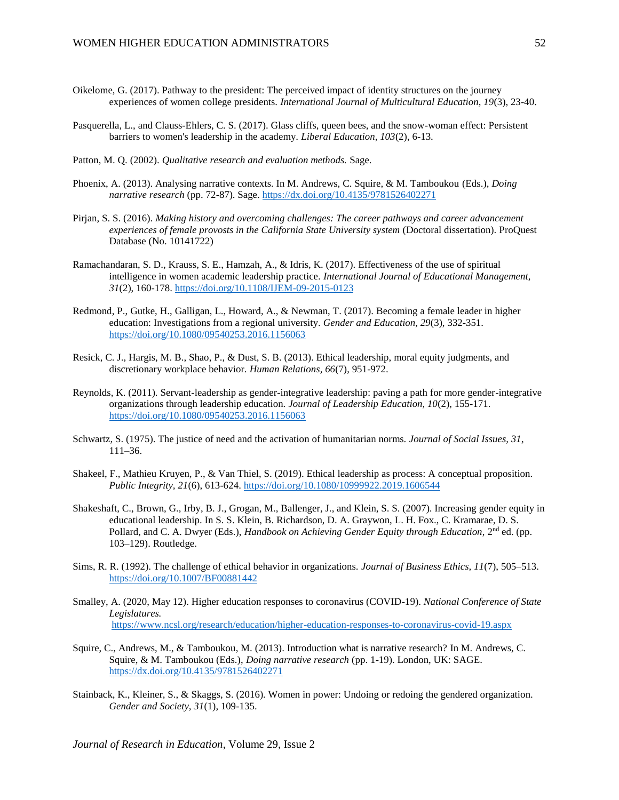- Oikelome, G. (2017). Pathway to the president: The perceived impact of identity structures on the journey experiences of women college presidents. *International Journal of Multicultural Education, 19*(3), 23-40.
- Pasquerella, L., and Clauss-Ehlers, C. S. (2017). Glass cliffs, queen bees, and the snow-woman effect: Persistent barriers to women's leadership in the academy. *Liberal Education, 103*(2), 6-13.
- Patton, M. Q. (2002). *Qualitative research and evaluation methods.* Sage.
- Phoenix, A. (2013). Analysing narrative contexts. In M. Andrews, C. Squire, & M. Tamboukou (Eds.), *Doing narrative research* (pp. 72-87). Sage[. https://dx.doi.org/10.4135/9781526402271](https://dx.doi.org/10.4135/9781526402271)
- Pirjan, S. S. (2016). *Making history and overcoming challenges: The career pathways and career advancement experiences of female provosts in the California State University system* (Doctoral dissertation). ProQuest Database (No. 10141722)
- Ramachandaran, S. D., Krauss, S. E., Hamzah, A., & Idris, K. (2017). Effectiveness of the use of spiritual intelligence in women academic leadership practice. *International Journal of Educational Management, 31*(2), 160-178.<https://doi.org/10.1108/IJEM-09-2015-0123>
- Redmond, P., Gutke, H., Galligan, L., Howard, A., & Newman, T. (2017). Becoming a female leader in higher education: Investigations from a regional university. *Gender and Education, 29*(3), 332-351. <https://doi.org/10.1080/09540253.2016.1156063>
- Resick, C. J., Hargis, M. B., Shao, P., & Dust, S. B. (2013). Ethical leadership, moral equity judgments, and discretionary workplace behavior. *Human Relations, 66*(7), 951-972.
- Reynolds, K. (2011). Servant-leadership as gender-integrative leadership: paving a path for more gender-integrative organizations through leadership education. *Journal of Leadership Education, 10*(2), 155-171. <https://doi.org/10.1080/09540253.2016.1156063>
- Schwartz, S. (1975). The justice of need and the activation of humanitarian norms. *Journal of Social Issues, 31*, 111–36.
- Shakeel, F., Mathieu Kruyen, P., & Van Thiel, S. (2019). Ethical leadership as process: A conceptual proposition. *Public Integrity, 21*(6), 613-624. <https://doi.org/10.1080/10999922.2019.1606544>
- Shakeshaft, C., Brown, G., Irby, B. J., Grogan, M., Ballenger, J., and Klein, S. S. (2007). Increasing gender equity in educational leadership. In S. S. Klein, B. Richardson, D. A. Graywon, L. H. Fox., C. Kramarae, D. S. Pollard, and C. A. Dwyer (Eds.), *Handbook on Achieving Gender Equity through Education*, 2nd ed. (pp. 103–129). Routledge.
- Sims, R. R. (1992). The challenge of ethical behavior in organizations. *Journal of Business Ethics, 11*(7), 505–513. <https://doi.org/10.1007/BF00881442>
- Smalley, A. (2020, May 12). Higher education responses to coronavirus (COVID-19). *National Conference of State Legislatures.* <https://www.ncsl.org/research/education/higher-education-responses-to-coronavirus-covid-19.aspx>
- Squire, C., Andrews, M., & Tamboukou, M. (2013). Introduction what is narrative research? In M. Andrews, C. Squire, & M. Tamboukou (Eds.), *Doing narrative research* (pp. 1-19). London, UK: SAGE. <https://dx.doi.org/10.4135/9781526402271>
- Stainback, K., Kleiner, S., & Skaggs, S. (2016). Women in power: Undoing or redoing the gendered organization. *Gender and Society, 31*(1), 109-135.